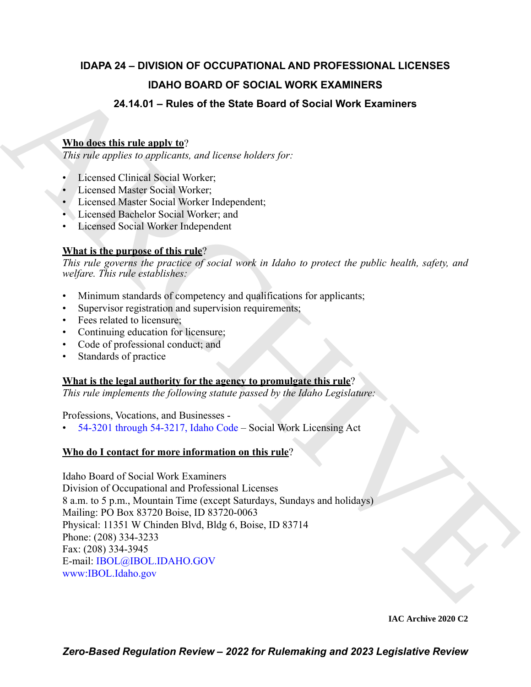## **IDAPA 24 – DIVISION OF OCCUPATIONAL AND PROFESSIONAL LICENSES IDAHO BOARD OF SOCIAL WORK EXAMINERS 24.14.01 – Rules of the State Board of Social Work Examiners**

## **Who does this rule apply to**?

*This rule applies to applicants, and license holders for:*

- Licensed Clinical Social Worker;
- Licensed Master Social Worker;
- Licensed Master Social Worker Independent;
- Licensed Bachelor Social Worker; and
- Licensed Social Worker Independent

## **What is the purpose of this rule**?

*This rule governs the practice of social work in Idaho to protect the public health, safety, and welfare. This rule establishes:*

- Minimum standards of competency and qualifications for applicants;
- Supervisor registration and supervision requirements;
- Fees related to licensure;
- Continuing education for licensure;
- Code of professional conduct; and
- Standards of practice

## **What is the legal authority for the agency to promulgate this rule**?

*This rule implements the following statute passed by the Idaho Legislature:*

Professions, Vocations, and Businesses -

• 54-3201 through 54-3217, Idaho Code – Social Work Licensing Act

## **Who do I contact for more information on this rule**?

**IDA[H](https://legislature.idaho.gov/statutesrules/idstat/Title54/T54CH32/)O BOARD OF SOCIAL WORK [E](mailto: IBOL@IBOL.IDAHO.GOV)XAMINERS**<br>
24.14.01 – Ruiss of the State Board of Social Work Examiners<br>
Wherefore this relaxionship to  $\frac{1}{10}$  and these builders for:<br>
This relaxion is regulated to the state builders for Idaho Board of Social Work Examiners Division of Occupational and Professional Licenses 8 a.m. to 5 p.m., Mountain Time (except Saturdays, Sundays and holidays) Mailing: PO Box 83720 Boise, ID 83720-0063 Physical: 11351 W Chinden Blvd, Bldg 6, Boise, ID 83714 Phone: (208) 334-3233 Fax: (208) 334-3945 E-mail: IBOL@IBOL.IDAHO.GOV www:IBOL.Idaho.gov

**IAC Archive 2020 C2**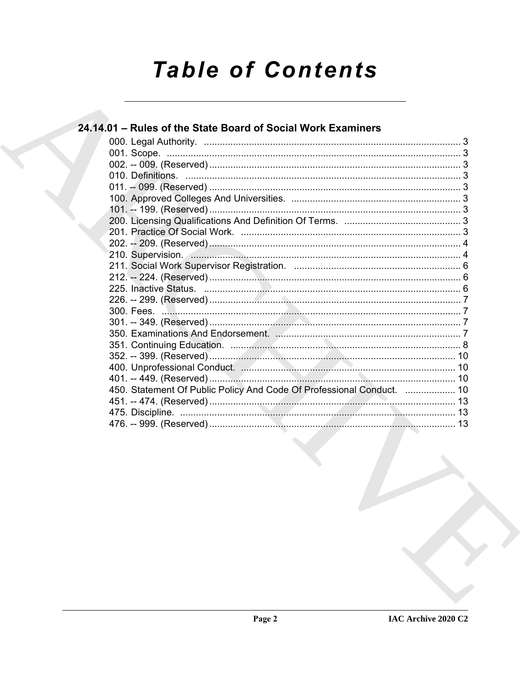# **Table of Contents**

| 24.14.01 - Rules of the State Board of Social Work Examiners          |  |
|-----------------------------------------------------------------------|--|
|                                                                       |  |
|                                                                       |  |
|                                                                       |  |
|                                                                       |  |
|                                                                       |  |
|                                                                       |  |
|                                                                       |  |
|                                                                       |  |
|                                                                       |  |
|                                                                       |  |
| 210. Supervision. 4                                                   |  |
|                                                                       |  |
|                                                                       |  |
|                                                                       |  |
|                                                                       |  |
|                                                                       |  |
|                                                                       |  |
|                                                                       |  |
|                                                                       |  |
|                                                                       |  |
|                                                                       |  |
|                                                                       |  |
| 450. Statement Of Public Policy And Code Of Professional Conduct.  10 |  |
|                                                                       |  |
|                                                                       |  |
|                                                                       |  |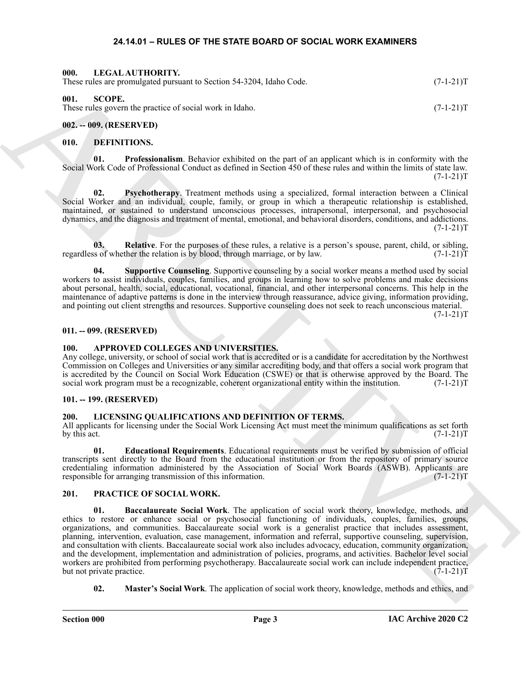#### <span id="page-2-16"></span>**24.14.01 – RULES OF THE STATE BOARD OF SOCIAL WORK EXAMINERS**

<span id="page-2-22"></span><span id="page-2-2"></span><span id="page-2-1"></span><span id="page-2-0"></span>

| 000.<br>LEGAL AUTHORITY.<br>These rules are promulgated pursuant to Section 54-3204, Idaho Code. | $(7-1-21)T$ |
|--------------------------------------------------------------------------------------------------|-------------|
| 001.<br>SCOPE.<br>These rules govern the practice of social work in Idaho.                       | $(7-1-21)T$ |
| $002. - 009.$ (RESERVED)                                                                         |             |

#### <span id="page-2-12"></span><span id="page-2-11"></span><span id="page-2-4"></span><span id="page-2-3"></span>**010. DEFINITIONS.**

**01. Professionalism**. Behavior exhibited on the part of an applicant which is in conformity with the Social Work Code of Professional Conduct as defined in Section 450 of these rules and within the limits of state law.  $(7-1-21)T$ 

<span id="page-2-13"></span>**02. Psychotherapy**. Treatment methods using a specialized, formal interaction between a Clinical Social Worker and an individual, couple, family, or group in which a therapeutic relationship is established, maintained, or sustained to understand unconscious processes, intrapersonal, interpersonal, and psychosocial dynamics, and the diagnosis and treatment of mental, emotional, and behavioral disorders, conditions, and addictions.  $(7-1-21)T$ 

<span id="page-2-14"></span>**03.** Relative. For the purposes of these rules, a relative is a person's spouse, parent, child, or sibling, so f whether the relation is by blood, through marriage, or by law. (7-1-21) regardless of whether the relation is by blood, through marriage, or by law.

<span id="page-2-15"></span>**04. Supportive Counseling**. Supportive counseling by a social worker means a method used by social workers to assist individuals, couples, families, and groups in learning how to solve problems and make decisions about personal, health, social, educational, vocational, financial, and other interpersonal concerns. This help in the maintenance of adaptive patterns is done in the interview through reassurance, advice giving, information providing, and pointing out client strengths and resources. Supportive counseling does not seek to reach unconscious material.  $(7-1-21)T$ 

#### <span id="page-2-5"></span>**011. -- 099. (RESERVED)**

#### <span id="page-2-10"></span><span id="page-2-6"></span>**100. APPROVED COLLEGES AND UNIVERSITIES.**

Any college, university, or school of social work that is accredited or is a candidate for accreditation by the Northwest Commission on Colleges and Universities or any similar accrediting body, and that offers a social work program that is accredited by the Council on Social Work Education (CSWE) or that is otherwise approved by the Board. The social work program must be a recognizable, coherent organizational entity within the institution. (7-1-21)T social work program must be a recognizable, coherent organizational entity within the institution.

#### <span id="page-2-7"></span>**101. -- 199. (RESERVED)**

#### <span id="page-2-17"></span><span id="page-2-8"></span>**200. LICENSING QUALIFICATIONS AND DEFINITION OF TERMS.**

All applicants for licensing under the Social Work Licensing Act must meet the minimum qualifications as set forth by this act.  $(7-1-21)T$ 

<span id="page-2-18"></span>**01. Educational Requirements**. Educational requirements must be verified by submission of official transcripts sent directly to the Board from the educational institution or from the repository of primary source credentialing information administered by the Association of Social Work Boards (ASWB). Applicants are responsible for arranging transmission of this information. (7-1-21) responsible for arranging transmission of this information.

#### <span id="page-2-20"></span><span id="page-2-19"></span><span id="page-2-9"></span>**201. PRACTICE OF SOCIAL WORK.**

These point and a statement is Society 54-5204, behavior Contains and the second statement is a statement of the second statement is a statement of the second statement is a statement of the second statement is a statemen **01. Baccalaureate Social Work**. The application of social work theory, knowledge, methods, and ethics to restore or enhance social or psychosocial functioning of individuals, couples, families, groups, organizations, and communities. Baccalaureate social work is a generalist practice that includes assessment, planning, intervention, evaluation, case management, information and referral, supportive counseling, supervision, and consultation with clients. Baccalaureate social work also includes advocacy, education, community organization, and the development, implementation and administration of policies, programs, and activities. Bachelor level social workers are prohibited from performing psychotherapy. Baccalaureate social work can include independent practice,<br>but not private practice. (7-1-21)T but not private practice.

<span id="page-2-21"></span>**02. Master's Social Work**. The application of social work theory, knowledge, methods and ethics, and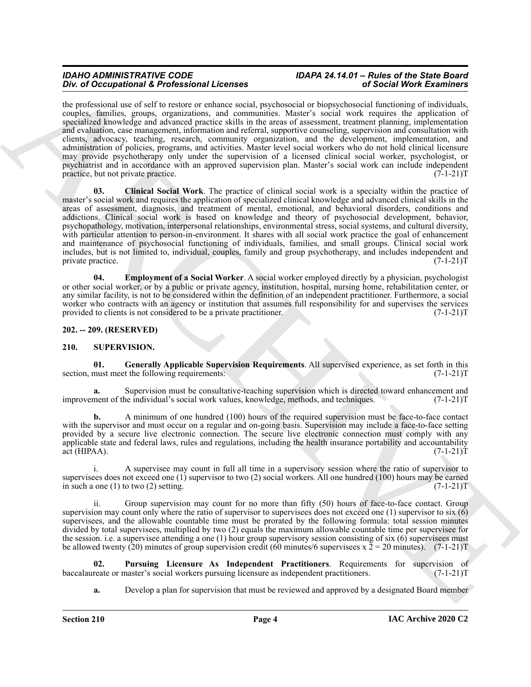<span id="page-3-2"></span>the professional use of self to restore or enhance social, psychosocial or biopsychosocial functioning of individuals, couples, families, groups, organizations, and communities. Master's social work requires the application of specialized knowledge and advanced practice skills in the areas of assessment, treatment planning, implementation and evaluation, case management, information and referral, supportive counseling, supervision and consultation with clients, advocacy, teaching, research, community organization, and the development, implementation, and administration of policies, programs, and activities. Master level social workers who do not hold clinical licensure may provide psychotherapy only under the supervision of a licensed clinical social worker, psychologist, or psychiatrist and in accordance with an approved supervision plan. Master's social work can include independent practice, but not private practice. (7-1-21)T

Do not Decemberant & Profession Likenense Real participates in the system of Securities of the control of the system of the system of the system of the system of the system of the system of the system of the system of the **03. Clinical Social Work**. The practice of clinical social work is a specialty within the practice of master's social work and requires the application of specialized clinical knowledge and advanced clinical skills in the areas of assessment, diagnosis, and treatment of mental, emotional, and behavioral disorders, conditions and addictions. Clinical social work is based on knowledge and theory of psychosocial development, behavior, psychopathology, motivation, interpersonal relationships, environmental stress, social systems, and cultural diversity, with particular attention to person-in-environment. It shares with all social work practice the goal of enhancement and maintenance of psychosocial functioning of individuals, families, and small groups. Clinical social work includes, but is not limited to, individual, couples, family and group psychotherapy, and includes independent and private practice. (7-1-21)T

<span id="page-3-3"></span>**04. Employment of a Social Worker**. A social worker employed directly by a physician, psychologist or other social worker, or by a public or private agency, institution, hospital, nursing home, rehabilitation center, or any similar facility, is not to be considered within the definition of an independent practitioner. Furthermore, a social worker who contracts with an agency or institution that assumes full responsibility for and supervises the services provided to clients is not considered to be a private practitioner. (7-1-21)T

<span id="page-3-0"></span>**202. -- 209. (RESERVED)**

#### <span id="page-3-4"></span><span id="page-3-1"></span>**210. SUPERVISION.**

<span id="page-3-5"></span>**01. Generally Applicable Supervision Requirements**. All supervised experience, as set forth in this section, must meet the following requirements:

**a.** Supervision must be consultative-teaching supervision which is directed toward enhancement and nent of the individual's social work values, knowledge, methods, and techniques. (7-1-21) improvement of the individual's social work values, knowledge, methods, and techniques.

**b.** A minimum of one hundred (100) hours of the required supervision must be face-to-face contact with the supervisor and must occur on a regular and on-going basis. Supervision may include a face-to-face setting provided by a secure live electronic connection. The secure live electronic connection must comply with any applicable state and federal laws, rules and regulations, including the health insurance portability and accountability  $\arct{(HIPAA)}$ . (7-1-21)T

i. A supervisee may count in full all time in a supervisory session where the ratio of supervisor to supervisees does not exceed one (1) supervisor to two (2) social workers. All one hundred (100) hours may be earned<br>in such a one (1) to two (2) setting. (7-1-21) in such a one  $(1)$  to two  $(2)$  setting.

ii. Group supervision may count for no more than fifty (50) hours of face-to-face contact. Group supervision may count only where the ratio of supervisor to supervisees does not exceed one (1) supervisor to six (6) supervisees, and the allowable countable time must be prorated by the following formula: total session minutes divided by total supervisees, multiplied by two (2) equals the maximum allowable countable time per supervisee for the session. i.e. a supervisee attending a one (1) hour group supervisory session consisting of six (6) supervisees must be allowed twenty (20) minutes of group supervision credit (60 minutes/6 supervisees x  $\overline{2} = 20$  minutes). (7-1-21)T

**02. Pursuing Licensure As Independent Practitioners**. Requirements for supervision of reate or master's social workers pursuing licensure as independent practitioners. (7-1-21)T baccalaureate or master's social workers pursuing licensure as independent practitioners.

<span id="page-3-6"></span>**a.** Develop a plan for supervision that must be reviewed and approved by a designated Board member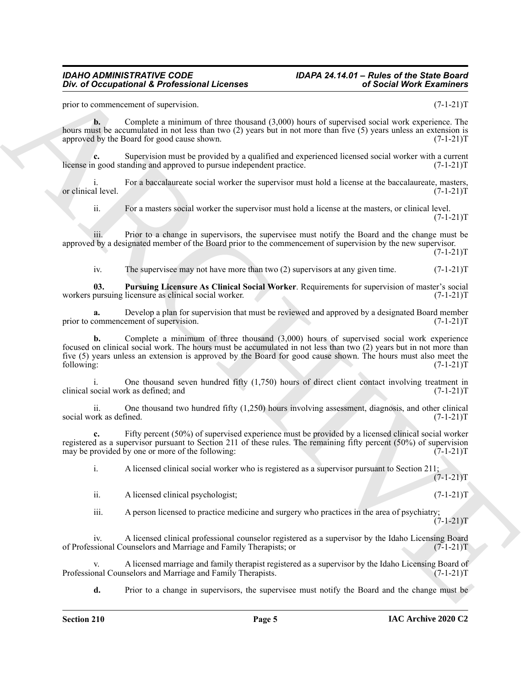prior to commencement of supervision. (7-1-21)T

**b.** Complete a minimum of three thousand  $(3,000)$  hours of supervised social work experience. The hours must be accumulated in not less than two (2) years but in not more than five (5) years unless an extension is approved by the Board for good cause shown. (7-1-21)T

**c.** Supervision must be provided by a qualified and experienced licensed social worker with a current n good standing and approved to pursue independent practice. (7-1-21) license in good standing and approved to pursue independent practice.

For a baccalaureate social worker the supervisor must hold a license at the baccalaureate, masters,  $(7-1-21)T$ or clinical level.

ii. For a masters social worker the supervisor must hold a license at the masters, or clinical level.  $(7-1-21)T$ 

iii. Prior to a change in supervisors, the supervisee must notify the Board and the change must be approved by a designated member of the Board prior to the commencement of supervision by the new supervisor.

 $(7-1-21)T$ 

<span id="page-4-0"></span>iv. The supervisee may not have more than two  $(2)$  supervisors at any given time.  $(7-1-21)T$ 

**03. Pursuing Licensure As Clinical Social Worker**. Requirements for supervision of master's social workers pursuing licensure as clinical social worker.

**a.** Develop a plan for supervision that must be reviewed and approved by a designated Board member commencement of supervision.  $(7-1-21)T$ prior to commencement of supervision.

One of Occupational & Professional Licenses<br>
yield  $\sim$  Occupational & Professional Licenses<br>
yield  $\sim$  Occupational Archives recovered (AdM) have of experiments once in such control (2014)<br>
such as a conserver of such a **b.** Complete a minimum of three thousand (3,000) hours of supervised social work experience focused on clinical social work. The hours must be accumulated in not less than two (2) years but in not more than five (5) years unless an extension is approved by the Board for good cause shown. The hours must also meet the following: (7-1-21)T following: (7-1-21)T

i. One thousand seven hundred fifty (1,750) hours of direct client contact involving treatment in clinical social work as defined; and (7-1-21)T

ii. One thousand two hundred fifty  $(1,250)$  hours involving assessment, diagnosis, and other clinical ork as defined.  $(7-1-21)T$ social work as defined.

Fifty percent (50%) of supervised experience must be provided by a licensed clinical social worker registered as a supervisor pursuant to Section 211 of these rules. The remaining fifty percent (50%) of supervision may be provided by one or more of the following:  $(7-1-21)T$ 

i. A licensed clinical social worker who is registered as a supervisor pursuant to Section 211;  $(7-1-21)T$ 

ii. A licensed clinical psychologist; (7-1-21)T

iii. A person licensed to practice medicine and surgery who practices in the area of psychiatry;  $(7-1-21)T$ 

iv. A licensed clinical professional counselor registered as a supervisor by the Idaho Licensing Board of Professional Counselors and Marriage and Family Therapists; or (7-1-21)T

A licensed marriage and family therapist registered as a supervisor by the Idaho Licensing Board of neglors and Marriage and Family Therapists. (7-1-21) Professional Counselors and Marriage and Family Therapists.

**d.** Prior to a change in supervisors, the supervisee must notify the Board and the change must be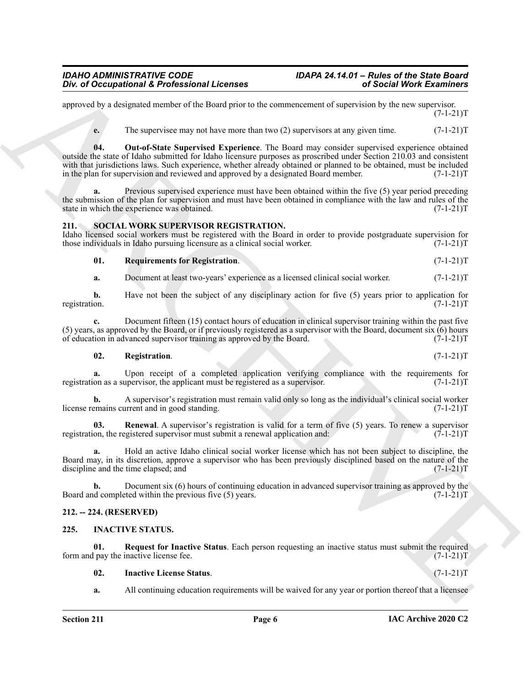approved by a designated member of the Board prior to the commencement of supervision by the new supervisor.  $(7-1-21)T$ 

<span id="page-5-10"></span>**e.** The supervisee may not have more than two (2) supervisors at any given time.  $(7-1-21)$ T

One of Occupational K. Professional Licenses<br>
opposed in College Constraint (a) the constraint of the bound of the constraint of the constraints of the constraints of the constraints of the constraints of the constraints **04. Out-of-State Supervised Experience**. The Board may consider supervised experience obtained outside the state of Idaho submitted for Idaho licensure purposes as proscribed under Section 210.03 and consistent with that jurisdictions laws. Such experience, whether already obtained or planned to be obtained, must be included in the plan for supervision and reviewed and approved by a designated Board member. (7-1-21)T

Previous supervised experience must have been obtained within the five (5) year period preceding the submission of the plan for supervision and must have been obtained in compliance with the law and rules of the state in which the experience was obtained. (7-1-21) state in which the experience was obtained.

#### <span id="page-5-6"></span><span id="page-5-0"></span>**211. SOCIAL WORK SUPERVISOR REGISTRATION.**

Idaho licensed social workers must be registered with the Board in order to provide postgraduate supervision for those individuals in Idaho pursuing licensure as a clinical social worker. (7-1-21) those individuals in Idaho pursuing licensure as a clinical social worker.

<span id="page-5-9"></span>**01. Requirements for Registration**. (7-1-21)T

**a.** Document at least two-years' experience as a licensed clinical social worker.  $(7-1-21)$ T

**b.** Have not been the subject of any disciplinary action for five (5) years prior to application for registration.  $(7-1-21)T$ registration. (7-1-21)T

**c.** Document fifteen (15) contact hours of education in clinical supervisor training within the past five (5) years, as approved by the Board, or if previously registered as a supervisor with the Board, document six  $\overline{(6)}$  hours of education in advanced supervisor training as approved by the Board. (7-1-21) of education in advanced supervisor training as approved by the Board.

#### <span id="page-5-7"></span>**02. Registration**. (7-1-21)T

**a.** Upon receipt of a completed application verifying compliance with the requirements for on as a supervisor, the applicant must be registered as a supervisor. (7-1-21) registration as a supervisor, the applicant must be registered as a supervisor.

**b.** A supervisor's registration must remain valid only so long as the individual's clinical social worker emains current and in good standing.  $(7-1-21)$ license remains current and in good standing.

<span id="page-5-8"></span>**03.** Renewal. A supervisor's registration is valid for a term of five (5) years. To renew a supervisor on, the registered supervisor must submit a renewal application and:  $(7-1-21)$ registration, the registered supervisor must submit a renewal application and:

**a.** Hold an active Idaho clinical social worker license which has not been subject to discipline, the Board may, in its discretion, approve a supervisor who has been previously disciplined based on the nature of the discipline and the time elapsed; and (7-1-21)T

**b.** Document six (6) hours of continuing education in advanced supervisor training as approved by the d completed within the previous five (5) years.  $(7-1-21)$ Board and completed within the previous five  $(5)$  years.

#### <span id="page-5-1"></span>**212. -- 224. (RESERVED)**

#### <span id="page-5-3"></span><span id="page-5-2"></span>**225. INACTIVE STATUS.**

**01. Request for Inactive Status**. Each person requesting an inactive status must submit the required pay the inactive license fee. (7-1-21) form and pay the inactive license fee.

#### <span id="page-5-5"></span><span id="page-5-4"></span>**02. Inactive License Status**. (7-1-21)T

**a.** All continuing education requirements will be waived for any year or portion thereof that a licensee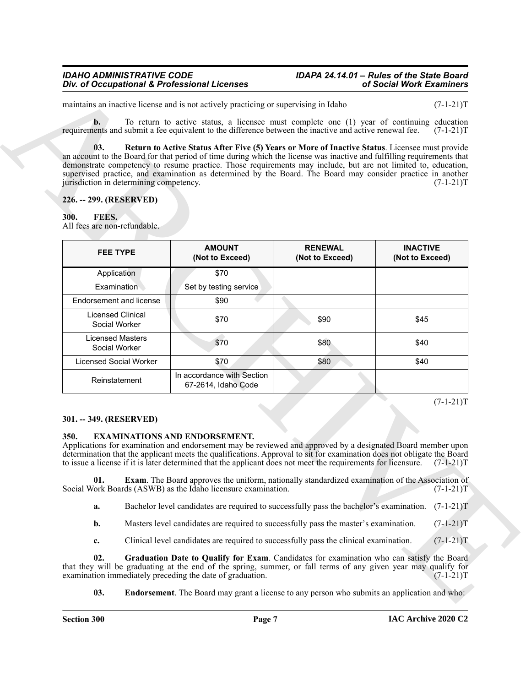#### <span id="page-6-0"></span>**226. -- 299. (RESERVED)**

#### <span id="page-6-5"></span><span id="page-6-1"></span>**300. FEES.**

| maintains an inactive license and is not actively practicing or supervising in Idaho                                                                                                                                                                                                                                                                                                                                                |                                                                                                        |                                   | $(7-1-21)T$                                                                                                    |
|-------------------------------------------------------------------------------------------------------------------------------------------------------------------------------------------------------------------------------------------------------------------------------------------------------------------------------------------------------------------------------------------------------------------------------------|--------------------------------------------------------------------------------------------------------|-----------------------------------|----------------------------------------------------------------------------------------------------------------|
| $\mathbf{b}$ .                                                                                                                                                                                                                                                                                                                                                                                                                      | To return to active status, a licensee must complete one (1) year of continuing education              |                                   |                                                                                                                |
| requirements and submit a fee equivalent to the difference between the inactive and active renewal fee.                                                                                                                                                                                                                                                                                                                             |                                                                                                        |                                   | $(7-1-21)T$                                                                                                    |
| 03.<br>an account to the Board for that period of time during which the license was inactive and fulfilling requirements that<br>demonstrate competency to resume practice. Those requirements may include, but are not limited to, education,<br>supervised practice, and examination as determined by the Board. The Board may consider practice in another<br>jurisdiction in determining competency.<br>226. -- 299. (RESERVED) | Return to Active Status After Five (5) Years or More of Inactive Status. Licensee must provide         |                                   | $(7-1-21)T$                                                                                                    |
| FEES.<br>300.<br>All fees are non-refundable.                                                                                                                                                                                                                                                                                                                                                                                       |                                                                                                        |                                   |                                                                                                                |
| <b>FEE TYPE</b>                                                                                                                                                                                                                                                                                                                                                                                                                     | <b>AMOUNT</b><br>(Not to Exceed)                                                                       | <b>RENEWAL</b><br>(Not to Exceed) | <b>INACTIVE</b><br>(Not to Exceed)                                                                             |
| Application                                                                                                                                                                                                                                                                                                                                                                                                                         | \$70                                                                                                   |                                   |                                                                                                                |
| <b>Examination</b>                                                                                                                                                                                                                                                                                                                                                                                                                  | Set by testing service                                                                                 |                                   |                                                                                                                |
| Endorsement and license                                                                                                                                                                                                                                                                                                                                                                                                             | \$90                                                                                                   |                                   |                                                                                                                |
| Licensed Clinical<br>Social Worker                                                                                                                                                                                                                                                                                                                                                                                                  | \$70                                                                                                   | \$90                              | \$45                                                                                                           |
| <b>Licensed Masters</b><br>Social Worker                                                                                                                                                                                                                                                                                                                                                                                            | \$70                                                                                                   | \$80                              | \$40                                                                                                           |
| <b>Licensed Social Worker</b>                                                                                                                                                                                                                                                                                                                                                                                                       | \$70                                                                                                   | \$80                              | \$40                                                                                                           |
| Reinstatement                                                                                                                                                                                                                                                                                                                                                                                                                       | In accordance with Section<br>67-2614, Idaho Code                                                      |                                   |                                                                                                                |
| 301. -- 349. (RESERVED)                                                                                                                                                                                                                                                                                                                                                                                                             |                                                                                                        |                                   | $(7-1-21)T$                                                                                                    |
| 350.<br><b>EXAMINATIONS AND ENDORSEMENT.</b><br>Applications for examination and endorsement may be reviewed and approved by a designated Board member upon<br>determination that the applicant meets the qualifications. Approval to sit for examination does not obligate the Board<br>to issue a license if it is later determined that the applicant does not meet the requirements for licensure.                              |                                                                                                        |                                   | $(7-1-21)T$                                                                                                    |
| 01.<br>Social Work Boards (ASWB) as the Idaho licensure examination.                                                                                                                                                                                                                                                                                                                                                                | <b>Exam.</b> The Board approves the uniform, nationally standardized examination of the Association of |                                   | $(7-1-21)T$                                                                                                    |
| a.                                                                                                                                                                                                                                                                                                                                                                                                                                  | Bachelor level candidates are required to successfully pass the bachelor's examination.                |                                   | $(7-1-21)T$                                                                                                    |
| b.                                                                                                                                                                                                                                                                                                                                                                                                                                  | Masters level candidates are required to successfully pass the master's examination.                   |                                   | $(7-1-21)T$                                                                                                    |
| c.                                                                                                                                                                                                                                                                                                                                                                                                                                  | Clinical level candidates are required to successfully pass the clinical examination.                  |                                   | $(7-1-21)T$                                                                                                    |
| 02.                                                                                                                                                                                                                                                                                                                                                                                                                                 | Graduation Date to Qualify for Exam. Candidates for examination who can satisfy the Board              |                                   | that they will be graduating at the end of the spring, summer, or fall terms of any given year may qualify for |
| examination immediately preceding the date of graduation.                                                                                                                                                                                                                                                                                                                                                                           |                                                                                                        |                                   | $(7-1-21)T$                                                                                                    |

#### <span id="page-6-2"></span>**301. -- 349. (RESERVED)**

#### <span id="page-6-4"></span><span id="page-6-3"></span>**350. EXAMINATIONS AND ENDORSEMENT.**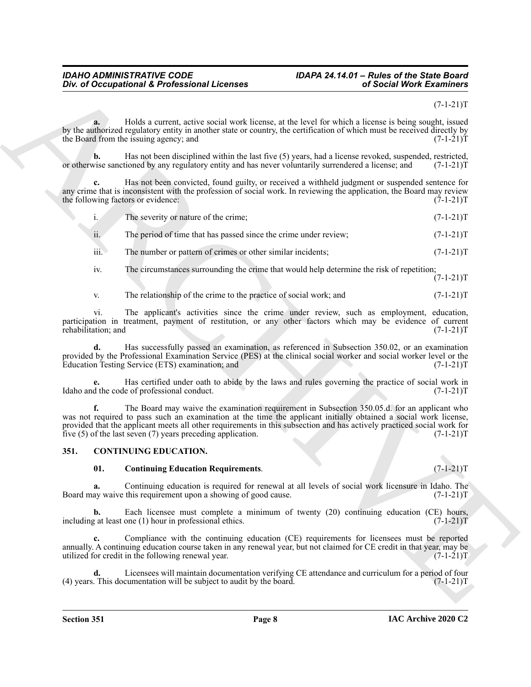$(7-1-21)T$ 

**a.** Holds a current, active social work license, at the level for which a license is being sought, issued by the authorized regulatory entity in another state or country, the certification of which must be received directly by the Board from the issuing agency; and  $(7-1-21)$ the Board from the issuing agency; and

**b.** Has not been disciplined within the last five (5) years, had a license revoked, suspended, restricted, wise sanctioned by any regulatory entity and has never voluntarily surrendered a license; and  $(7-1-21)T$ or otherwise sanctioned by any regulatory entity and has never voluntarily surrendered a license; and

**c.** Has not been convicted, found guilty, or received a withheld judgment or suspended sentence for any crime that is inconsistent with the profession of social work. In reviewing the application, the Board may review<br>the following factors or evidence: (7-1-21)T the following factors or evidence:

|  | The severity or nature of the crime: | $(7-1-21)T$ |
|--|--------------------------------------|-------------|
|--|--------------------------------------|-------------|

ii. The period of time that has passed since the crime under review;  $(7-1-21)$ T

iii. The number or pattern of crimes or other similar incidents;  $(7-1-21)T$ 

iv. The circumstances surrounding the crime that would help determine the risk of repetition;

 $(7-1-21)T$ 

v. The relationship of the crime to the practice of social work; and  $(7-1-21)$ T

vi. The applicant's activities since the crime under review, such as employment, education, participation in treatment, payment of restitution, or any other factors which may be evidence of current rehabilitation; and (7-1-21)T rehabilitation; and

**d.** Has successfully passed an examination, as referenced in Subsection 350.02, or an examination provided by the Professional Examination Service (PES) at the clinical social worker and social worker level or the Education Testing Service (ETS) examination; and (7-1-21) Education Testing Service (ETS) examination; and

**e.** Has certified under oath to abide by the laws and rules governing the practice of social work in Idaho and the code of professional conduct. (7-1-21)T

One of Occupational K. Professional Licenses<br>
Section Work Externibute Control and New York Research was Research with the Control and New York Externibute<br>
Section Archives and New York Research was Research and New York **f.** The Board may waive the examination requirement in Subsection 350.05.d. for an applicant who was not required to pass such an examination at the time the applicant initially obtained a social work license, provided that the applicant meets all other requirements in this subsection and has actively practiced social work for five (5) of the last seven (7) years preceding application. (7-1-21)T

#### <span id="page-7-0"></span>**351. CONTINUING EDUCATION.**

#### <span id="page-7-2"></span><span id="page-7-1"></span>**01. Continuing Education Requirements**. (7-1-21)T

**a.** Continuing education is required for renewal at all levels of social work licensure in Idaho. The ay waive this requirement upon a showing of good cause.  $(7-1-21)$ Board may waive this requirement upon a showing of good cause.

**b.** Each licensee must complete a minimum of twenty (20) continuing education (CE) hours, including at least one (1) hour in professional ethics.  $(7-1-21)T$ 

**c.** Compliance with the continuing education (CE) requirements for licensees must be reported annually. A continuing education course taken in any renewal year, but not claimed for CE credit in that year, may be utilized for credit in the following renewal year. (7-1-21) utilized for credit in the following renewal year.

**d.** Licensees will maintain documentation verifying CE attendance and curriculum for a period of four This documentation will be subject to audit by the board. (7-1-21)  $(4)$  years. This documentation will be subject to audit by the board.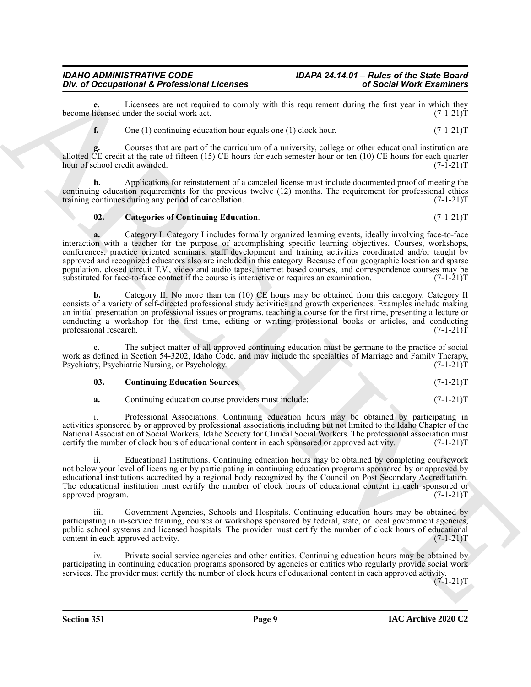**e.** Licensees are not required to comply with this requirement during the first year in which they icensed under the social work act. (7-1-21) become licensed under the social work act.

**f.** One (1) continuing education hour equals one (1) clock hour.  $(7-1-21)T$ 

**g.** Courses that are part of the curriculum of a university, college or other educational institution are allotted CE credit at the rate of fifteen (15) CE hours for each semester hour or ten (10) CE hours for each quarter hour of school credit awarded.  $(7-1-21)T$ hour of school credit awarded.

**h.** Applications for reinstatement of a canceled license must include documented proof of meeting the continuing education requirements for the previous twelve (12) months. The requirement for professional ethics training continues during any period of cancellation. (7-1-21) training continues during any period of cancellation.

#### <span id="page-8-0"></span>**02.** Categories of Continuing Education. (7-1-21)T

One of Occupational K Poofesion I Licenses<br>  $\frac{1}{2}$  Consider the Methods and Licenses<br>
E. One 13) costants are apply with this requestration of Social Work Examines<br>
become the Construction of the Methods are apply the **a.** Category I. Category I includes formally organized learning events, ideally involving face-to-face interaction with a teacher for the purpose of accomplishing specific learning objectives. Courses, workshops, conferences, practice oriented seminars, staff development and training activities coordinated and/or taught by approved and recognized educators also are included in this category. Because of our geographic location and sparse population, closed circuit T.V., video and audio tapes, internet based courses, and correspondence courses may be substituted for face-to-face contact if the course is interactive or requires an examination. (7-1-21)T substituted for face-to-face contact if the course is interactive or requires an examination.

**b.** Category II. No more than ten (10) CE hours may be obtained from this category. Category II consists of a variety of self-directed professional study activities and growth experiences. Examples include making an initial presentation on professional issues or programs, teaching a course for the first time, presenting a lecture or conducting a workshop for the first time, editing or writing professional books or articles, and conducting professional research. (7-1-21) professional research.

The subject matter of all approved continuing education must be germane to the practice of social work as defined in Section 54-3202, Idaho Code, and may include the specialties of Marriage and Family Therapy,<br>Psychiatry, Psychiatric Nursing, or Psychology. (7-1-21)T Psychiatry, Psychiatric Nursing, or Psychology.

## <span id="page-8-1"></span>**03.** Continuing Education Sources. (7-1-21)T

**a.** Continuing education course providers must include:  $(7-1-21)$ T

i. Professional Associations. Continuing education hours may be obtained by participating in activities sponsored by or approved by professional associations including but not limited to the Idaho Chapter of the National Association of Social Workers, Idaho Society for Clinical Social Workers. The professional association must<br>certify the number of clock hours of educational content in each sponsored or approved activity. (7-1-21) certify the number of clock hours of educational content in each sponsored or approved activity.

ii. Educational Institutions. Continuing education hours may be obtained by completing coursework not below your level of licensing or by participating in continuing education programs sponsored by or approved by educational institutions accredited by a regional body recognized by the Council on Post Secondary Accreditation. The educational institution must certify the number of clock hours of educational content in each sponsored or approved program.  $(7-1-21)$ approved program.

Government Agencies, Schools and Hospitals. Continuing education hours may be obtained by participating in in-service training, courses or workshops sponsored by federal, state, or local government agencies, public school systems and licensed hospitals. The provider must certify the number of clock hours of educational content in each approved activity. (7-1-21) content in each approved activity.

iv. Private social service agencies and other entities. Continuing education hours may be obtained by participating in continuing education programs sponsored by agencies or entities who regularly provide social work services. The provider must certify the number of clock hours of educational content in each approved activity.

 $(7-1-21)T$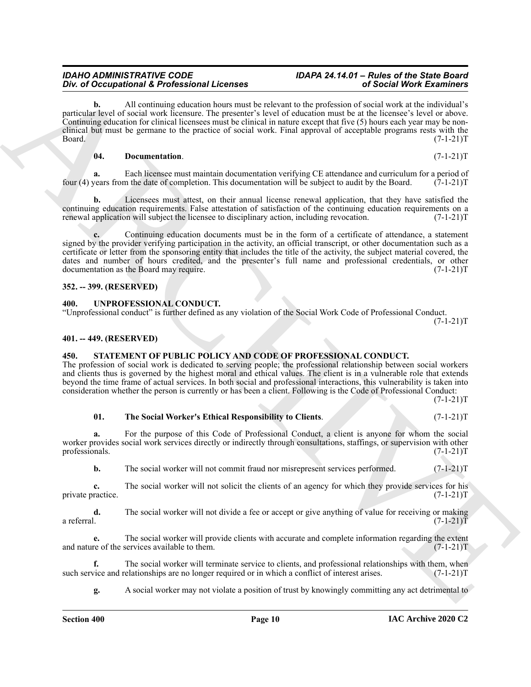**b.** All continuing education hours must be relevant to the profession of social work at the individual's particular level of social work licensure. The presenter's level of education must be at the licensee's level or above. Continuing education for clinical licensees must be clinical in nature except that five (5) hours each year may be nonclinical but must be germane to the practice of social work. Final approval of acceptable programs rests with the  $Board.$  (7-1-21) $T$ 

#### <span id="page-9-4"></span>**04. Documentation**. (7-1-21)T

**a.** Each licensee must maintain documentation verifying CE attendance and curriculum for a period of four (4) years from the date of completion. This documentation will be subject to audit by the Board. (7-1-21)T

**b.** Licensees must attest, on their annual license renewal application, that they have satisfied the continuing education requirements. False attestation of satisfaction of the continuing education requirements on a renewal application will subject the licensee to disciplinary action, including revocation. (7-1-21) T

One of Occupation 16 Forest and the measure by ndecentre in particular and the set of Mechanism Constraints (and the set of the set of the set of the set of the set of the set of the set of the set of the set of the set o **c.** Continuing education documents must be in the form of a certificate of attendance, a statement signed by the provider verifying participation in the activity, an official transcript, or other documentation such as a certificate or letter from the sponsoring entity that includes the title of the activity, the subject material covered, the dates and number of hours credited, and the presenter's full name and professional credentials, or other documentation as the Board may require. (7-1-21) documentation as the Board may require.

#### <span id="page-9-0"></span>**352. -- 399. (RESERVED)**

#### <span id="page-9-7"></span><span id="page-9-1"></span>**400. UNPROFESSIONAL CONDUCT.**

"Unprofessional conduct" is further defined as any violation of the Social Work Code of Professional Conduct.  $(7-1-21)T$ 

<span id="page-9-2"></span>**401. -- 449. (RESERVED)**

#### <span id="page-9-5"></span><span id="page-9-3"></span>**450. STATEMENT OF PUBLIC POLICY AND CODE OF PROFESSIONAL CONDUCT.**

The profession of social work is dedicated to serving people; the professional relationship between social workers and clients thus is governed by the highest moral and ethical values. The client is in a vulnerable role that extends beyond the time frame of actual services. In both social and professional interactions, this vulnerability is taken into consideration whether the person is currently or has been a client. Following is the Code of Professional Conduct:  $(7-1-21)T$ 

<span id="page-9-6"></span>

| 01. | The Social Worker's Ethical Responsibility to Clients. | $(7-1-21)T$ |
|-----|--------------------------------------------------------|-------------|
|     |                                                        |             |

**a.** For the purpose of this Code of Professional Conduct, a client is anyone for whom the social worker provides social work services directly or indirectly through consultations, staffings, or supervision with other professionals. (7-1-21)T

**b.** The social worker will not commit fraud nor misrepresent services performed.  $(7-1-21)$ T

**c.** The social worker will not solicit the clients of an agency for which they provide services for his ractice.  $(7-1-21)T$ private practice.

**d.** The social worker will not divide a fee or accept or give anything of value for receiving or making a referral.  $(7-1-21)T$ a referral.  $(7-1-21)T$ 

**e.** The social worker will provide clients with accurate and complete information regarding the extent and nature of the services available to them. (7-1-21)T

**f.** The social worker will terminate service to clients, and professional relationships with them, when vice and relationships are no longer required or in which a conflict of interest arises. (7-1-21) such service and relationships are no longer required or in which a conflict of interest arises.

**g.** A social worker may not violate a position of trust by knowingly committing any act detrimental to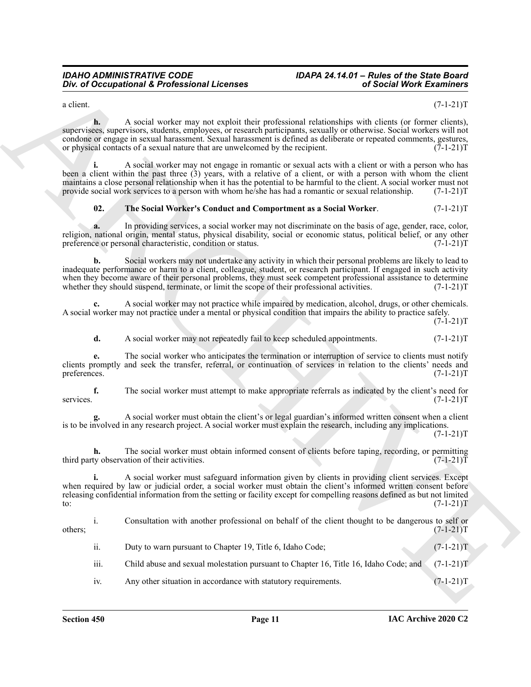a client.  $(7-1-21)T$ 

**h.** A social worker may not exploit their professional relationships with clients (or former clients), supervisees, supervisors, students, employees, or research participants, sexually or otherwise. Social workers will not condone or engage in sexual harassment. Sexual harassment is defined as deliberate or repeated comments, gestures, or physical contacts of a sexual nature that are unwelcomed by the recipient. (7-1-21) or physical contacts of a sexual nature that are unwelcomed by the recipient.

**i.** A social worker may not engage in romantic or sexual acts with a client or with a person who has been a client within the past three (3) years, with a relative of a client, or with a person with whom the client maintains a close personal relationship when it has the potential to be harmful to the client. A social worker must not provide social work services to a person with whom he/she has had a romantic or sexual relationship. (7-1-21)T

#### <span id="page-10-0"></span>**02. The Social Worker's Conduct and Comportment as a Social Worker**. (7-1-21)T

**a.** In providing services, a social worker may not discriminate on the basis of age, gender, race, color, religion, national origin, mental status, physical disability, social or economic status, political belief, or any other<br>preference or personal characteristic, condition or status. (7-1-21) preference or personal characteristic, condition or status.

**b.** Social workers may not undertake any activity in which their personal problems are likely to lead to inadequate performance or harm to a client, colleague, student, or research participant. If engaged in such activity when they become aware of their personal problems, they must seek competent professional assistance to determine whether they should suspend, terminate, or limit the scope of their professional activities. (7-1-21)T

**c.** A social worker may not practice while impaired by medication, alcohol, drugs, or other chemicals. A social worker may not practice under a mental or physical condition that impairs the ability to practice safely.

**d.** A social worker may not repeatedly fail to keep scheduled appointments.  $(7-1-21)$ T

**e.** The social worker who anticipates the termination or interruption of service to clients must notify clients promptly and seek the transfer, referral, or continuation of services in relation to the clients' needs and preferences. (7-1-21) preferences. (7-1-21)T

**f.** The social worker must attempt to make appropriate referrals as indicated by the client's need for  $(7-1-21)T$ services. (7-1-21)T

**g.** A social worker must obtain the client's or legal guardian's informed written consent when a client is to be involved in any research project. A social worker must explain the research, including any implications.

 $(7-1-21)T$ 

**h.** The social worker must obtain informed consent of clients before taping, recording, or permitting ty observation of their activities. (7-1-21) third party observation of their activities.

**i.** A social worker must safeguard information given by clients in providing client services. Except when required by law or judicial order, a social worker must obtain the client's informed written consent before releasing confidential information from the setting or facility except for compelling reasons defined as but not limited  $t_0$ : (7-1-21)T

One of Occupational K. Professional Licenses<br>
As Anali norther may not engine registrative interactional estimation per al electric process of the collection of the collection of the collection of the collection of the co i. Consultation with another professional on behalf of the client thought to be dangerous to self or  $(7-1-21)$ T others;  $(7-1-21)T$ ii. Duty to warn pursuant to Chapter 19, Title 6, Idaho Code;  $(7-1-21)$ T iii. Child abuse and sexual molestation pursuant to Chapter 16, Title 16, Idaho Code; and (7-1-21)T iv. Any other situation in accordance with statutory requirements.  $(7-1-21)T$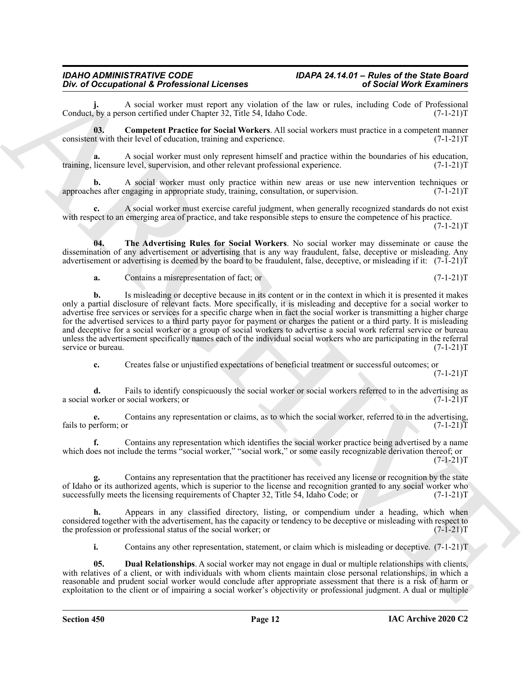A social worker must report any violation of the law or rules, including Code of Professional son certified under Chapter 32, Title 54, Idaho Code.  $(7-1-21)$ Conduct, by a person certified under Chapter 32, Title 54, Idaho Code.

<span id="page-11-0"></span>**03. Competent Practice for Social Workers**. All social workers must practice in a competent manner consistent with their level of education, training and experience. (7-1-21)T

**a.** A social worker must only represent himself and practice within the boundaries of his education, licensure level, supervision, and other relevant professional experience. (7-1-21) training, licensure level, supervision, and other relevant professional experience.

A social worker must only practice within new areas or use new intervention techniques or engaging in appropriate study, training, consultation, or supervision. (7-1-21) approaches after engaging in appropriate study, training, consultation, or supervision.

**c.** A social worker must exercise careful judgment, when generally recognized standards do not exist with respect to an emerging area of practice, and take responsible steps to ensure the competence of his practice.

 $(7-1-21)T$ 

**04. The Advertising Rules for Social Workers**. No social worker may disseminate or cause the dissemination of any advertisement or advertising that is any way fraudulent, false, deceptive or misleading. Any advertisement or advertising is deemed by the board to be fraudulent, false, deceptive, or misleading if it:  $(7-1-21)$ T

<span id="page-11-2"></span>**a.** Contains a misrepresentation of fact; or  $(7-1-21)$ T

One of Occupational K Portscheral Methods of the to-<br>a consistent of the state of the state of the state of the state of the state of the state of the state of the state of the state of the state of the state of the state **b.** Is misleading or deceptive because in its content or in the context in which it is presented it makes only a partial disclosure of relevant facts. More specifically, it is misleading and deceptive for a social worker to advertise free services or services for a specific charge when in fact the social worker is transmitting a higher charge for the advertised services to a third party payor for payment or charges the patient or a third party. It is misleading and deceptive for a social worker or a group of social workers to advertise a social work referral service or bureau unless the advertisement specifically names each of the individual social workers who are participating in the referral service or bureau. (7-1-21)T service or bureau.

**c.** Creates false or unjustified expectations of beneficial treatment or successful outcomes; or  $(7-1-21)T$ 

**d.** Fails to identify conspicuously the social worker or social workers referred to in the advertising as worker or social workers; or  $(7-1-21)$ a social worker or social workers; or

**e.** Contains any representation or claims, as to which the social worker, referred to in the advertising, erform; or  $(7-1-21)T$ fails to perform; or

**f.** Contains any representation which identifies the social worker practice being advertised by a name which does not include the terms "social worker," "social work," or some easily recognizable derivation thereof; or  $(7-1-21)T$ 

**g.** Contains any representation that the practitioner has received any license or recognition by the state of Idaho or its authorized agents, which is superior to the license and recognition granted to any social worker who successfully meets the licensing requirements of Chapter 32, Title 54, Idaho Code; or  $(7-1-21)$ successfully meets the licensing requirements of Chapter 32, Title 54, Idaho Code; or

**h.** Appears in any classified directory, listing, or compendium under a heading, which when considered together with the advertisement, has the capacity or tendency to be deceptive or misleading with respect to the profession or professional status of the social worker; or  $(7-1-21)$ the profession or professional status of the social worker; or

<span id="page-11-1"></span>**i.** Contains any other representation, statement, or claim which is misleading or deceptive.  $(7-1-21)$ T

**05. Dual Relationships**. A social worker may not engage in dual or multiple relationships with clients, with relatives of a client, or with individuals with whom clients maintain close personal relationships, in which a reasonable and prudent social worker would conclude after appropriate assessment that there is a risk of harm or exploitation to the client or of impairing a social worker's objectivity or professional judgment. A dual or multiple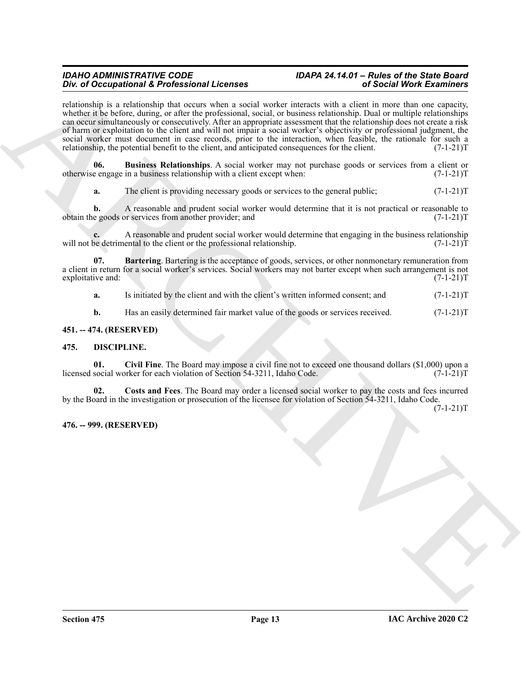For *i* Decoration of *E* for *C* is the control of *C* is the control of *C* is the control of *C* is the control of *C* is the control of *C* is the control of *C* is the control of *C* is the control of *C* is the cont relationship is a relationship that occurs when a social worker interacts with a client in more than one capacity, whether it be before, during, or after the professional, social, or business relationship. Dual or multiple relationships can occur simultaneously or consecutively. After an appropriate assessment that the relationship does not create a risk of harm or exploitation to the client and will not impair a social worker's objectivity or professional judgment, the social worker must document in case records, prior to the interaction, when feasible, the rationale for such a relationship, the potential benefit to the client, and anticipated consequences for the client. (7-1-21)T

**06.** Business Relationships. A social worker may not purchase goods or services from a client or e engage in a business relationship with a client except when:  $(7-1-21)$ otherwise engage in a business relationship with a client except when:

<span id="page-12-7"></span>**a.** The client is providing necessary goods or services to the general public;  $(7-1-21)$ T

**b.** A reasonable and prudent social worker would determine that it is not practical or reasonable to e goods or services from another provider; and  $(7-1-21)$ obtain the goods or services from another provider; and

A reasonable and prudent social worker would determine that engaging in the business relationship ental to the client or the professional relationship.  $(7-1-21)$ will not be detrimental to the client or the professional relationship.

**07. Bartering**. Bartering is the acceptance of goods, services, or other nonmonetary remuneration from a client in return for a social worker's services. Social workers may not barter except when such arrangement is not exploitative and: (7-1-21)T exploitative and:

<span id="page-12-6"></span>**a.** Is initiated by the client and with the client's written informed consent; and  $(7-1-21)$ T

<span id="page-12-4"></span><span id="page-12-3"></span>**b.** Has an easily determined fair market value of the goods or services received.  $(7-1-21)T$ 

#### <span id="page-12-0"></span>**451. -- 474. (RESERVED)**

#### <span id="page-12-1"></span>**475. DISCIPLINE.**

**01.** Civil Fine. The Board may impose a civil fine not to exceed one thousand dollars (\$1,000) upon a social worker for each violation of Section 54-3211, Idaho Code. (7-1-21)<sup>T</sup> licensed social worker for each violation of Section 54-3211, Idaho Code.

<span id="page-12-5"></span>**02. Costs and Fees**. The Board may order a licensed social worker to pay the costs and fees incurred by the Board in the investigation or prosecution of the licensee for violation of Section 54-3211, Idaho Code.

 $(7-1-21)T$ 

#### <span id="page-12-2"></span>**476. -- 999. (RESERVED)**